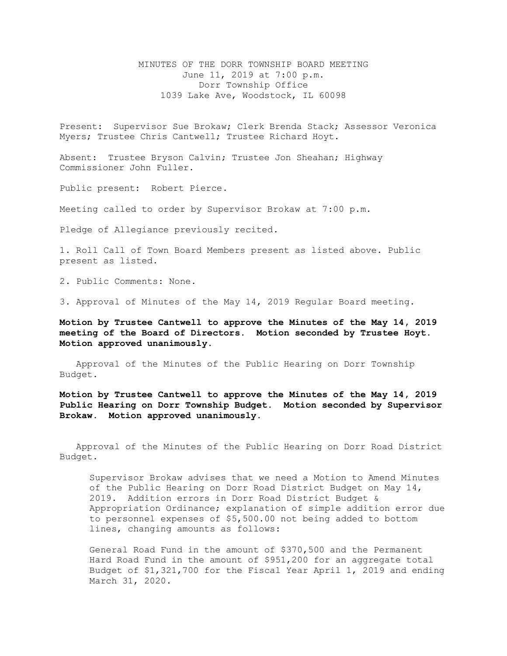MINUTES OF THE DORR TOWNSHIP BOARD MEETING June 11, 2019 at 7:00 p.m. Dorr Township Office 1039 Lake Ave, Woodstock, IL 60098

Present: Supervisor Sue Brokaw; Clerk Brenda Stack; Assessor Veronica Myers; Trustee Chris Cantwell; Trustee Richard Hoyt.

Absent: Trustee Bryson Calvin; Trustee Jon Sheahan; Highway Commissioner John Fuller.

Public present: Robert Pierce.

Meeting called to order by Supervisor Brokaw at 7:00 p.m.

Pledge of Allegiance previously recited.

1. Roll Call of Town Board Members present as listed above. Public present as listed.

2. Public Comments: None.

3. Approval of Minutes of the May 14, 2019 Regular Board meeting.

**Motion by Trustee Cantwell to approve the Minutes of the May 14, 2019 meeting of the Board of Directors. Motion seconded by Trustee Hoyt. Motion approved unanimously.**

Approval of the Minutes of the Public Hearing on Dorr Township Budget.

**Motion by Trustee Cantwell to approve the Minutes of the May 14, 2019 Public Hearing on Dorr Township Budget. Motion seconded by Supervisor Brokaw. Motion approved unanimously.**

 Approval of the Minutes of the Public Hearing on Dorr Road District Budget.

Supervisor Brokaw advises that we need a Motion to Amend Minutes of the Public Hearing on Dorr Road District Budget on May 14, 2019. Addition errors in Dorr Road District Budget & Appropriation Ordinance; explanation of simple addition error due to personnel expenses of \$5,500.00 not being added to bottom lines, changing amounts as follows:

General Road Fund in the amount of \$370,500 and the Permanent Hard Road Fund in the amount of \$951,200 for an aggregate total Budget of \$1,321,700 for the Fiscal Year April 1, 2019 and ending March 31, 2020**.**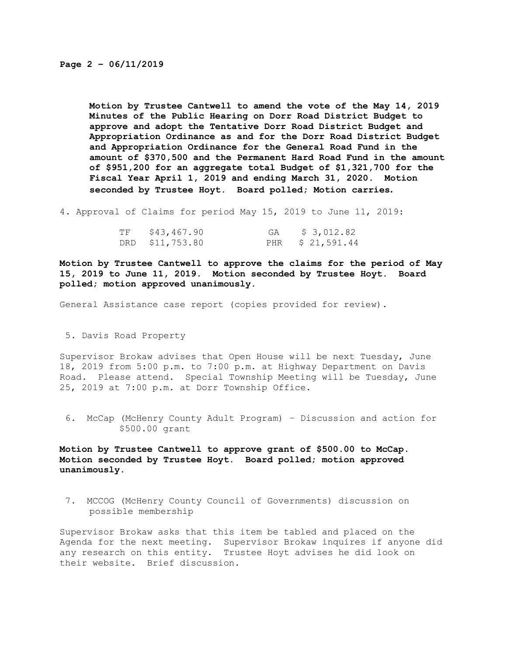**Motion by Trustee Cantwell to amend the vote of the May 14, 2019 Minutes of the Public Hearing on Dorr Road District Budget to approve and adopt the Tentative Dorr Road District Budget and Appropriation Ordinance as and for the Dorr Road District Budget and Appropriation Ordinance for the General Road Fund in the amount of \$370,500 and the Permanent Hard Road Fund in the amount of \$951,200 for an aggregate total Budget of \$1,321,700 for the Fiscal Year April 1, 2019 and ending March 31, 2020. Motion seconded by Trustee Hoyt. Board polled; Motion carries.** 

4. Approval of Claims for period May 15, 2019 to June 11, 2019:

| TF \$43,467.90  | GA | \$ 3,012.82      |
|-----------------|----|------------------|
| DRD \$11,753.80 |    | PHR \$ 21,591.44 |

**Motion by Trustee Cantwell to approve the claims for the period of May 15, 2019 to June 11, 2019. Motion seconded by Trustee Hoyt. Board polled; motion approved unanimously.**

General Assistance case report (copies provided for review).

5. Davis Road Property

Supervisor Brokaw advises that Open House will be next Tuesday, June 18, 2019 from 5:00 p.m. to 7:00 p.m. at Highway Department on Davis Road. Please attend. Special Township Meeting will be Tuesday, June 25, 2019 at 7:00 p.m. at Dorr Township Office.

6. McCap (McHenry County Adult Program) – Discussion and action for \$500.00 grant

**Motion by Trustee Cantwell to approve grant of \$500.00 to McCap. Motion seconded by Trustee Hoyt. Board polled; motion approved unanimously.**

7. MCCOG (McHenry County Council of Governments) discussion on possible membership

Supervisor Brokaw asks that this item be tabled and placed on the Agenda for the next meeting. Supervisor Brokaw inquires if anyone did any research on this entity. Trustee Hoyt advises he did look on their website. Brief discussion.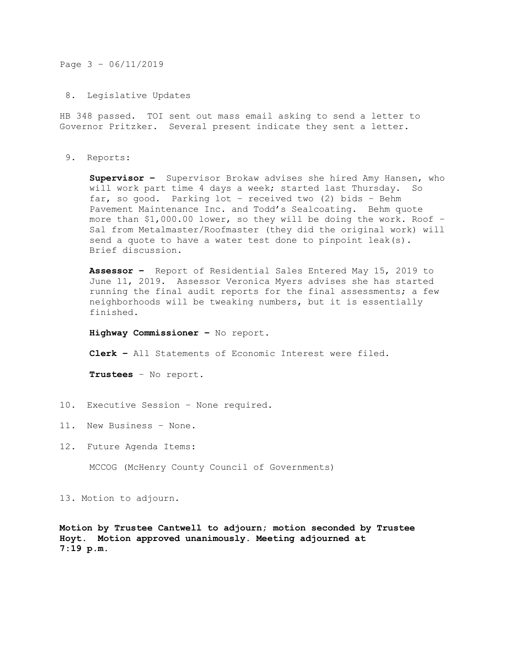Page 3 – 06/11/2019

8. Legislative Updates

HB 348 passed. TOI sent out mass email asking to send a letter to Governor Pritzker. Several present indicate they sent a letter.

9. Reports:

**Supervisor –** Supervisor Brokaw advises she hired Amy Hansen, who will work part time 4 days a week; started last Thursday. So far, so good. Parking lot – received two (2) bids – Behm Pavement Maintenance Inc. and Todd's Sealcoating. Behm quote more than \$1,000.00 lower, so they will be doing the work. Roof – Sal from Metalmaster/Roofmaster (they did the original work) will send a quote to have a water test done to pinpoint leak(s). Brief discussion.

**Assessor –** Report of Residential Sales Entered May 15, 2019 to June 11, 2019. Assessor Veronica Myers advises she has started running the final audit reports for the final assessments; a few neighborhoods will be tweaking numbers, but it is essentially finished.

**Highway Commissioner –** No report.

**Clerk –** All Statements of Economic Interest were filed.

**Trustees** – No report.

- 10. Executive Session None required.
- 11. New Business None.
- 12. Future Agenda Items:

MCCOG (McHenry County Council of Governments)

13. Motion to adjourn.

**Motion by Trustee Cantwell to adjourn; motion seconded by Trustee Hoyt. Motion approved unanimously. Meeting adjourned at 7:19 p.m.**